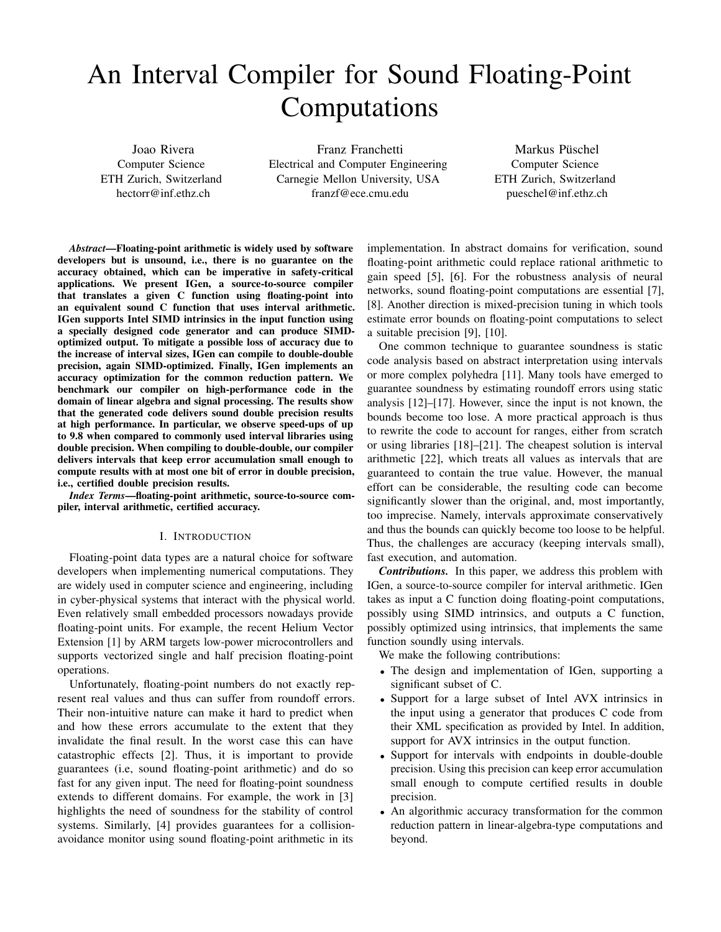# An Interval Compiler for Sound Floating-Point Computations

Joao Rivera Computer Science ETH Zurich, Switzerland hectorr@inf.ethz.ch

Franz Franchetti Electrical and Computer Engineering Carnegie Mellon University, USA franzf@ece.cmu.edu

Markus Püschel Computer Science ETH Zurich, Switzerland pueschel@inf.ethz.ch

*Abstract*—Floating-point arithmetic is widely used by software developers but is unsound, i.e., there is no guarantee on the accuracy obtained, which can be imperative in safety-critical applications. We present IGen, a source-to-source compiler that translates a given C function using floating-point into an equivalent sound C function that uses interval arithmetic. IGen supports Intel SIMD intrinsics in the input function using a specially designed code generator and can produce SIMDoptimized output. To mitigate a possible loss of accuracy due to the increase of interval sizes, IGen can compile to double-double precision, again SIMD-optimized. Finally, IGen implements an accuracy optimization for the common reduction pattern. We benchmark our compiler on high-performance code in the domain of linear algebra and signal processing. The results show that the generated code delivers sound double precision results at high performance. In particular, we observe speed-ups of up to 9.8 when compared to commonly used interval libraries using double precision. When compiling to double-double, our compiler delivers intervals that keep error accumulation small enough to compute results with at most one bit of error in double precision, i.e., certified double precision results.

*Index Terms*—floating-point arithmetic, source-to-source compiler, interval arithmetic, certified accuracy.

# I. INTRODUCTION

Floating-point data types are a natural choice for software developers when implementing numerical computations. They are widely used in computer science and engineering, including in cyber-physical systems that interact with the physical world. Even relatively small embedded processors nowadays provide floating-point units. For example, the recent Helium Vector Extension [\[1\]](#page-11-0) by ARM targets low-power microcontrollers and supports vectorized single and half precision floating-point operations.

Unfortunately, floating-point numbers do not exactly represent real values and thus can suffer from roundoff errors. Their non-intuitive nature can make it hard to predict when and how these errors accumulate to the extent that they invalidate the final result. In the worst case this can have catastrophic effects [\[2\]](#page-11-1). Thus, it is important to provide guarantees (i.e, sound floating-point arithmetic) and do so fast for any given input. The need for floating-point soundness extends to different domains. For example, the work in [\[3\]](#page-11-2) highlights the need of soundness for the stability of control systems. Similarly, [\[4\]](#page-11-3) provides guarantees for a collisionavoidance monitor using sound floating-point arithmetic in its

implementation. In abstract domains for verification, sound floating-point arithmetic could replace rational arithmetic to gain speed [\[5\]](#page-11-4), [\[6\]](#page-11-5). For the robustness analysis of neural networks, sound floating-point computations are essential [\[7\]](#page-11-6), [\[8\]](#page-11-7). Another direction is mixed-precision tuning in which tools estimate error bounds on floating-point computations to select a suitable precision [\[9\]](#page-11-8), [\[10\]](#page-12-0).

One common technique to guarantee soundness is static code analysis based on abstract interpretation using intervals or more complex polyhedra [\[11\]](#page-12-1). Many tools have emerged to guarantee soundness by estimating roundoff errors using static analysis [\[12\]](#page-12-2)–[\[17\]](#page-12-3). However, since the input is not known, the bounds become too lose. A more practical approach is thus to rewrite the code to account for ranges, either from scratch or using libraries [\[18\]](#page-12-4)–[\[21\]](#page-12-5). The cheapest solution is interval arithmetic [\[22\]](#page-12-6), which treats all values as intervals that are guaranteed to contain the true value. However, the manual effort can be considerable, the resulting code can become significantly slower than the original, and, most importantly, too imprecise. Namely, intervals approximate conservatively and thus the bounds can quickly become too loose to be helpful. Thus, the challenges are accuracy (keeping intervals small), fast execution, and automation.

*Contributions.* In this paper, we address this problem with IGen, a source-to-source compiler for interval arithmetic. IGen takes as input a C function doing floating-point computations, possibly using SIMD intrinsics, and outputs a C function, possibly optimized using intrinsics, that implements the same function soundly using intervals.

We make the following contributions:

- The design and implementation of IGen, supporting a significant subset of C.
- Support for a large subset of Intel AVX intrinsics in the input using a generator that produces C code from their XML specification as provided by Intel. In addition, support for AVX intrinsics in the output function.
- Support for intervals with endpoints in double-double precision. Using this precision can keep error accumulation small enough to compute certified results in double precision.
- An algorithmic accuracy transformation for the common reduction pattern in linear-algebra-type computations and beyond.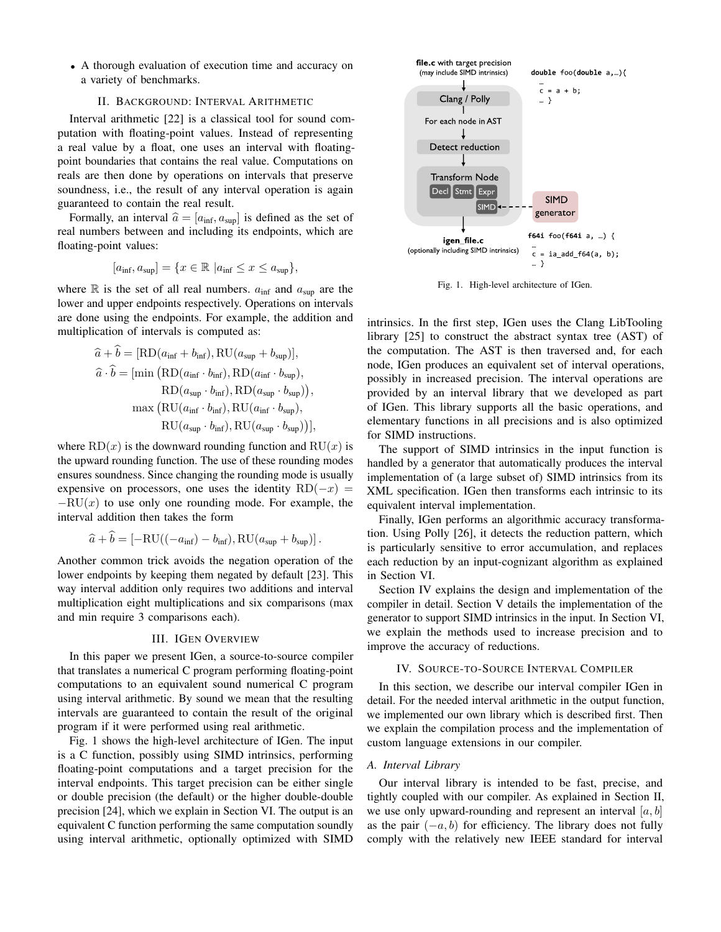• A thorough evaluation of execution time and accuracy on a variety of benchmarks.

## II. BACKGROUND: INTERVAL ARITHMETIC

<span id="page-1-2"></span>Interval arithmetic [\[22\]](#page-12-6) is a classical tool for sound computation with floating-point values. Instead of representing a real value by a float, one uses an interval with floatingpoint boundaries that contains the real value. Computations on reals are then done by operations on intervals that preserve soundness, i.e., the result of any interval operation is again guaranteed to contain the real result.

Formally, an interval  $\hat{a} = [a_{\text{inf}}, a_{\text{sup}}]$  is defined as the set of real numbers between and including its endpoints, which are floating-point values:

$$
[a_{\inf}, a_{\sup}] = \{ x \in \mathbb{R} \mid a_{\inf} \le x \le a_{\sup} \},
$$

where  $\mathbb R$  is the set of all real numbers.  $a_{\text{inf}}$  and  $a_{\text{sup}}$  are the lower and upper endpoints respectively. Operations on intervals are done using the endpoints. For example, the addition and multiplication of intervals is computed as:

$$
\begin{aligned}\n\hat{a} + b &= [\text{RD}(a_{\text{inf}} + b_{\text{inf}}), \text{RU}(a_{\text{sup}} + b_{\text{sup}})], \\
\hat{a} \cdot \hat{b} &= [\text{min } (\text{RD}(a_{\text{inf}} \cdot b_{\text{inf}}), \text{RD}(a_{\text{inf}} \cdot b_{\text{sup}})), \\
&\text{RD}(a_{\text{sup}} \cdot b_{\text{inf}}), \text{RD}(a_{\text{sup}} \cdot b_{\text{sup}})), \\
&\text{max } (\text{RU}(a_{\text{inf}} \cdot b_{\text{inf}}), \text{RU}(a_{\text{inf}} \cdot b_{\text{sup}})), \\
&\text{RU}(a_{\text{sup}} \cdot b_{\text{inf}}), \text{RU}(a_{\text{sup}} \cdot b_{\text{sup}}))],\n\end{aligned}
$$

where  $RD(x)$  is the downward rounding function and  $RU(x)$  is the upward rounding function. The use of these rounding modes ensures soundness. Since changing the rounding mode is usually expensive on processors, one uses the identity  $RD(-x)$  =  $-RU(x)$  to use only one rounding mode. For example, the interval addition then takes the form

$$
\widehat{a} + b = [-RU((-a_{\inf}) - b_{\inf}), RU(a_{\sup} + b_{\sup})].
$$

Another common trick avoids the negation operation of the lower endpoints by keeping them negated by default [\[23\]](#page-12-7). This way interval addition only requires two additions and interval multiplication eight multiplications and six comparisons (max and min require 3 comparisons each).

#### III. IGEN OVERVIEW

In this paper we present IGen, a source-to-source compiler that translates a numerical C program performing floating-point computations to an equivalent sound numerical C program using interval arithmetic. By sound we mean that the resulting intervals are guaranteed to contain the result of the original program if it were performed using real arithmetic.

Fig. [1](#page-1-0) shows the high-level architecture of IGen. The input is a C function, possibly using SIMD intrinsics, performing floating-point computations and a target precision for the interval endpoints. This target precision can be either single or double precision (the default) or the higher double-double precision [\[24\]](#page-12-8), which we explain in Section [VI.](#page-5-0) The output is an equivalent C function performing the same computation soundly using interval arithmetic, optionally optimized with SIMD



<span id="page-1-0"></span>Fig. 1. High-level architecture of IGen.

intrinsics. In the first step, IGen uses the Clang LibTooling library [\[25\]](#page-12-9) to construct the abstract syntax tree (AST) of the computation. The AST is then traversed and, for each node, IGen produces an equivalent set of interval operations, possibly in increased precision. The interval operations are provided by an interval library that we developed as part of IGen. This library supports all the basic operations, and elementary functions in all precisions and is also optimized for SIMD instructions.

The support of SIMD intrinsics in the input function is handled by a generator that automatically produces the interval implementation of (a large subset of) SIMD intrinsics from its XML specification. IGen then transforms each intrinsic to its equivalent interval implementation.

Finally, IGen performs an algorithmic accuracy transformation. Using Polly [\[26\]](#page-12-10), it detects the reduction pattern, which is particularly sensitive to error accumulation, and replaces each reduction by an input-cognizant algorithm as explained in Section [VI.](#page-5-0)

Section [IV](#page-1-1) explains the design and implementation of the compiler in detail. Section [V](#page-3-0) details the implementation of the generator to support SIMD intrinsics in the input. In Section [VI,](#page-5-0) we explain the methods used to increase precision and to improve the accuracy of reductions.

## IV. SOURCE-TO-SOURCE INTERVAL COMPILER

<span id="page-1-1"></span>In this section, we describe our interval compiler IGen in detail. For the needed interval arithmetic in the output function, we implemented our own library which is described first. Then we explain the compilation process and the implementation of custom language extensions in our compiler.

# <span id="page-1-3"></span>*A. Interval Library*

Our interval library is intended to be fast, precise, and tightly coupled with our compiler. As explained in Section [II,](#page-1-2) we use only upward-rounding and represent an interval  $[a, b]$ as the pair  $(-a, b)$  for efficiency. The library does not fully comply with the relatively new IEEE standard for interval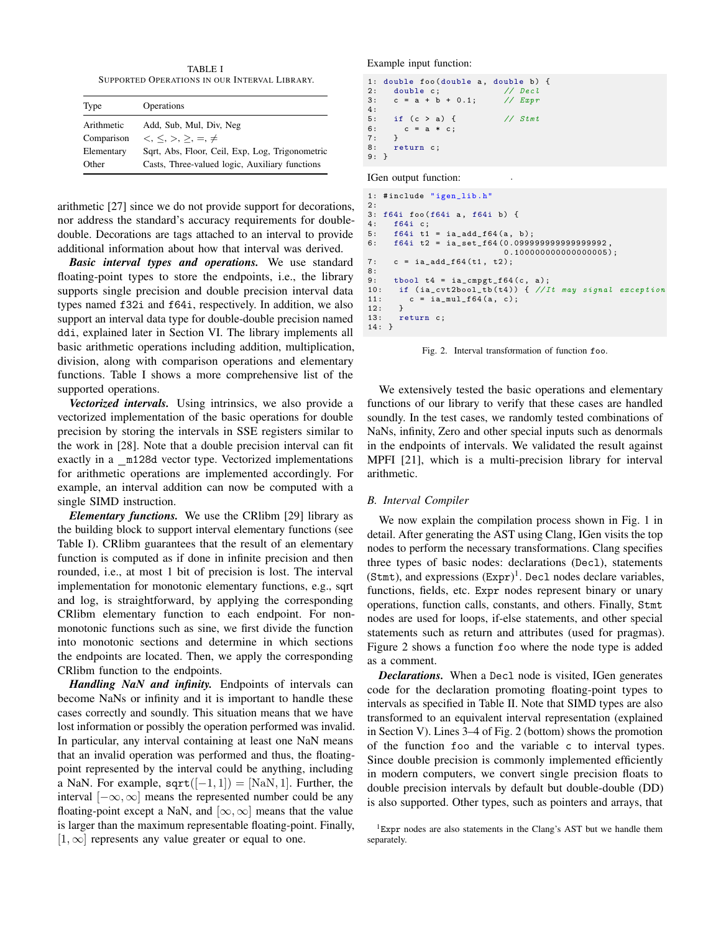TABLE I SUPPORTED OPERATIONS IN OUR INTERVAL LIBRARY.

<span id="page-2-0"></span>

| Type       | Operations                                      |
|------------|-------------------------------------------------|
| Arithmetic | Add, Sub, Mul, Div, Neg                         |
| Comparison | $\lt$ , $\lt$ , $>$ , $\gt$ , $=$ , $\neq$      |
| Elementary | Sqrt, Abs, Floor, Ceil, Exp, Log, Trigonometric |
| Other      | Casts, Three-valued logic, Auxiliary functions  |

arithmetic [\[27\]](#page-12-11) since we do not provide support for decorations, nor address the standard's accuracy requirements for doubledouble. Decorations are tags attached to an interval to provide additional information about how that interval was derived.

*Basic interval types and operations.* We use standard floating-point types to store the endpoints, i.e., the library supports single precision and double precision interval data types named f32i and f64i, respectively. In addition, we also support an interval data type for double-double precision named ddi, explained later in Section [VI.](#page-5-0) The library implements all basic arithmetic operations including addition, multiplication, division, along with comparison operations and elementary functions. Table [I](#page-2-0) shows a more comprehensive list of the supported operations.

*Vectorized intervals.* Using intrinsics, we also provide a vectorized implementation of the basic operations for double precision by storing the intervals in SSE registers similar to the work in [\[28\]](#page-12-12). Note that a double precision interval can fit exactly in a \_m128d vector type. Vectorized implementations for arithmetic operations are implemented accordingly. For example, an interval addition can now be computed with a single SIMD instruction.

*Elementary functions.* We use the CRlibm [\[29\]](#page-12-13) library as the building block to support interval elementary functions (see Table [I\)](#page-2-0). CRlibm guarantees that the result of an elementary function is computed as if done in infinite precision and then rounded, i.e., at most 1 bit of precision is lost. The interval implementation for monotonic elementary functions, e.g., sqrt and log, is straightforward, by applying the corresponding CRlibm elementary function to each endpoint. For nonmonotonic functions such as sine, we first divide the function into monotonic sections and determine in which sections the endpoints are located. Then, we apply the corresponding CRlibm function to the endpoints.

*Handling NaN and infinity.* Endpoints of intervals can become NaNs or infinity and it is important to handle these cases correctly and soundly. This situation means that we have lost information or possibly the operation performed was invalid. In particular, any interval containing at least one NaN means that an invalid operation was performed and thus, the floatingpoint represented by the interval could be anything, including a NaN. For example,  $sqrt([-1, 1]) = [NaN, 1]$ . Further, the interval  $[-\infty, \infty]$  means the represented number could be any floating-point except a NaN, and  $[\infty, \infty]$  means that the value is larger than the maximum representable floating-point. Finally,  $[1, \infty]$  represents any value greater or equal to one.

Example input function:

```
1: double foo (double a, double b) {
2: double c; // Decl<br>3: c = a + b + 0.1; // Expr3: c = a + b + 0.1;4:
5: if (c > a) { // Stmt
6: c = a * c;<br>7: }
7:8: return c;
9: }
```
IGen output function:

```
1: # include " igen_lib .h"
\frac{2:}{3:}3: f64i foo (f64i a, f64i b) {<br>4: f64i c;f64i c:
5: f64i t1 = ia_add_f64(a, b);<br>6: f64i t2 = ia_set_f64(0.0999)
       6: f64i t2 = ia_set_f64 (0.099999999999999992 ,
                                   0.100000000000000005);
7: c = ia\_add\_f64(t1, t2);8:
9: tbool t4 = ia_cmpgt_f64(c, a);<br>10: if (ia_cvt2bool_tb(t4)) { //It may signal exception
11: c = ia_m u l_f 64 (a, c);<br>12: }
12:13: return c;
14: }
```
<span id="page-2-2"></span>. Fig. 2. Interval transformation of function foo.

We extensively tested the basic operations and elementary functions of our library to verify that these cases are handled soundly. In the test cases, we randomly tested combinations of NaNs, infinity, Zero and other special inputs such as denormals in the endpoints of intervals. We validated the result against MPFI [\[21\]](#page-12-5), which is a multi-precision library for interval arithmetic.

# *B. Interval Compiler*

We now explain the compilation process shown in Fig. [1](#page-1-0) in detail. After generating the AST using Clang, IGen visits the top nodes to perform the necessary transformations. Clang specifies three types of basic nodes: declarations (Decl), statements (Stmt), and expressions  $(Expr)^{1}$  $(Expr)^{1}$  $(Expr)^{1}$ . Decl nodes declare variables, functions, fields, etc. Expr nodes represent binary or unary operations, function calls, constants, and others. Finally, Stmt nodes are used for loops, if-else statements, and other special statements such as return and attributes (used for pragmas). Figure [2](#page-2-2) shows a function foo where the node type is added as a comment.

*Declarations.* When a Decl node is visited, IGen generates code for the declaration promoting floating-point types to intervals as specified in Table [II.](#page-3-1) Note that SIMD types are also transformed to an equivalent interval representation (explained in Section [V\)](#page-3-0). Lines 3–4 of Fig. [2](#page-2-2) (bottom) shows the promotion of the function foo and the variable c to interval types. Since double precision is commonly implemented efficiently in modern computers, we convert single precision floats to double precision intervals by default but double-double (DD) is also supported. Other types, such as pointers and arrays, that

<span id="page-2-1"></span> ${}^{1}$ Expr nodes are also statements in the Clang's AST but we handle them separately.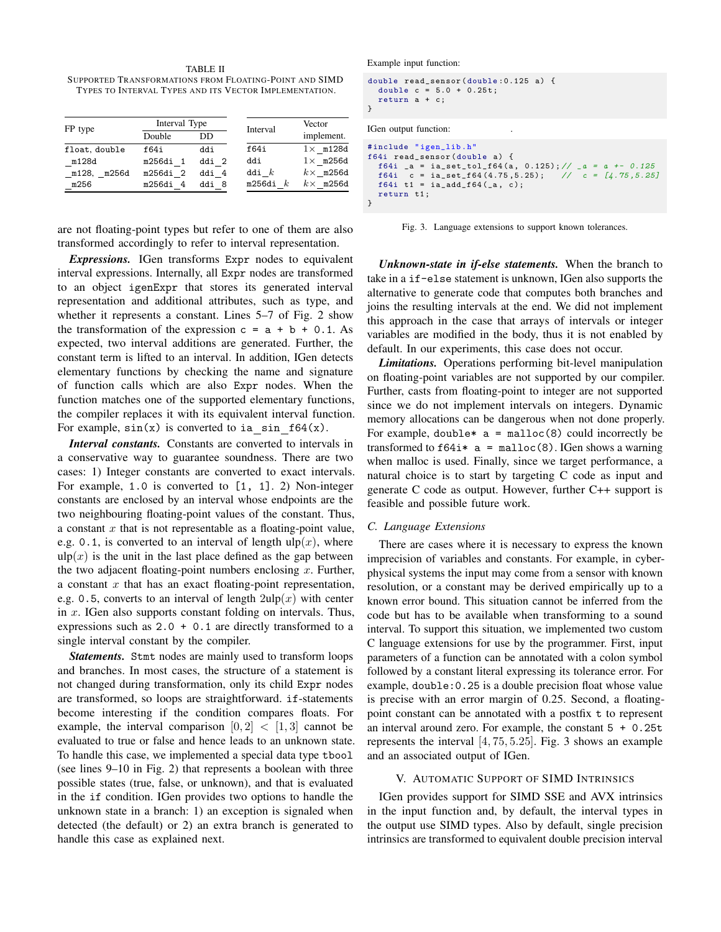<span id="page-3-1"></span>TABLE II SUPPORTED TRANSFORMATIONS FROM FLOATING-POINT AND SIMD TYPES TO INTERVAL TYPES AND ITS VECTOR IMPLEMENTATION.

| FP type        | Interval Type |       | Interval   | Vector           |  |
|----------------|---------------|-------|------------|------------------|--|
|                | Double        | DD    |            | implement.       |  |
| float, double  | f64i          | ddi   | f64i       | $1\times$ m128d  |  |
| m128d          | m256di 1      | ddi 2 | ddi        | $1\times$ m256d  |  |
| m128,<br>m256d | m256di 2      | ddi 4 | ddi $k$    | $k \times$ m256d |  |
| m256           | m256di 4      | ddi 8 | m256di $k$ | $k \times$ m256d |  |

are not floating-point types but refer to one of them are also transformed accordingly to refer to interval representation.

*Expressions.* IGen transforms Expr nodes to equivalent interval expressions. Internally, all Expr nodes are transformed to an object igenExpr that stores its generated interval representation and additional attributes, such as type, and whether it represents a constant. Lines 5–7 of Fig. [2](#page-2-2) show the transformation of the expression  $c = a + b + 0.1$ . As expected, two interval additions are generated. Further, the constant term is lifted to an interval. In addition, IGen detects elementary functions by checking the name and signature of function calls which are also Expr nodes. When the function matches one of the supported elementary functions, the compiler replaces it with its equivalent interval function. For example,  $sin(x)$  is converted to ia  $sin(64(x))$ .

*Interval constants.* Constants are converted to intervals in a conservative way to guarantee soundness. There are two cases: 1) Integer constants are converted to exact intervals. For example, 1.0 is converted to [1, 1]. 2) Non-integer constants are enclosed by an interval whose endpoints are the two neighbouring floating-point values of the constant. Thus, a constant  $x$  that is not representable as a floating-point value, e.g. 0.1, is converted to an interval of length  $\text{ulp}(x)$ , where  $\text{ulp}(x)$  is the unit in the last place defined as the gap between the two adjacent floating-point numbers enclosing  $x$ . Further, a constant  $x$  that has an exact floating-point representation, e.g. 0.5, converts to an interval of length  $2\text{ulp}(x)$  with center in  $x$ . IGen also supports constant folding on intervals. Thus, expressions such as  $2.0 + 0.1$  are directly transformed to a single interval constant by the compiler.

*Statements.* Stmt nodes are mainly used to transform loops and branches. In most cases, the structure of a statement is not changed during transformation, only its child Expr nodes are transformed, so loops are straightforward. if-statements become interesting if the condition compares floats. For example, the interval comparison  $[0, 2] < [1, 3]$  cannot be evaluated to true or false and hence leads to an unknown state. To handle this case, we implemented a special data type tbool (see lines 9–10 in Fig. [2\)](#page-2-2) that represents a boolean with three possible states (true, false, or unknown), and that is evaluated in the if condition. IGen provides two options to handle the unknown state in a branch: 1) an exception is signaled when detected (the default) or 2) an extra branch is generated to handle this case as explained next.

Example input function:

```
double read_sensor ( double :0.125 a) {
  double c = 5.0 + 0.25t;
  return a + c;
}
```
IGen output function:

```
# include " igen_lib .h"
f64i read_sensor ( double a) {
  f64i _a = ia_set_tol_f64(a, 0.125); // _a = a +- 0.125
  f64i c = ia_set_f64 (4.75 ,5.25); // c = [4.75 ,5.25]
f64i t1 = ia_add_f64 ( _a , c );
  return t1 ;
}
```
<span id="page-3-2"></span>. Fig. 3. Language extensions to support known tolerances.

*Unknown-state in if-else statements.* When the branch to take in a if-else statement is unknown, IGen also supports the alternative to generate code that computes both branches and joins the resulting intervals at the end. We did not implement this approach in the case that arrays of intervals or integer variables are modified in the body, thus it is not enabled by default. In our experiments, this case does not occur.

*Limitations.* Operations performing bit-level manipulation on floating-point variables are not supported by our compiler. Further, casts from floating-point to integer are not supported since we do not implement intervals on integers. Dynamic memory allocations can be dangerous when not done properly. For example, double\*  $a = \text{malloc}(8)$  could incorrectly be transformed to  $f64i* a = \text{malloc}(8)$ . IGen shows a warning when malloc is used. Finally, since we target performance, a natural choice is to start by targeting C code as input and generate C code as output. However, further C++ support is feasible and possible future work.

#### *C. Language Extensions*

There are cases where it is necessary to express the known imprecision of variables and constants. For example, in cyberphysical systems the input may come from a sensor with known resolution, or a constant may be derived empirically up to a known error bound. This situation cannot be inferred from the code but has to be available when transforming to a sound interval. To support this situation, we implemented two custom C language extensions for use by the programmer. First, input parameters of a function can be annotated with a colon symbol followed by a constant literal expressing its tolerance error. For example, double:0.25 is a double precision float whose value is precise with an error margin of 0.25. Second, a floatingpoint constant can be annotated with a postfix t to represent an interval around zero. For example, the constant  $5 + 0.25t$ represents the interval [4, 75, 5.25]. Fig. [3](#page-3-2) shows an example and an associated output of IGen.

#### V. AUTOMATIC SUPPORT OF SIMD INTRINSICS

<span id="page-3-0"></span>IGen provides support for SIMD SSE and AVX intrinsics in the input function and, by default, the interval types in the output use SIMD types. Also by default, single precision intrinsics are transformed to equivalent double precision interval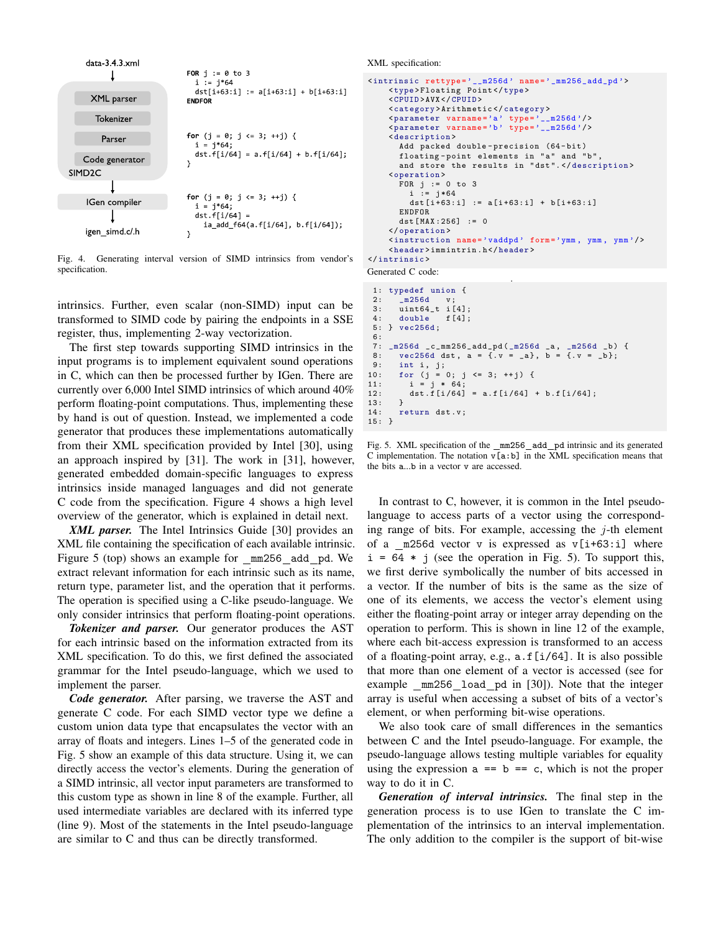

<span id="page-4-0"></span>Fig. 4. Generating interval version of SIMD intrinsics from vendor's specification.

intrinsics. Further, even scalar (non-SIMD) input can be transformed to SIMD code by pairing the endpoints in a SSE register, thus, implementing 2-way vectorization.

The first step towards supporting SIMD intrinsics in the input programs is to implement equivalent sound operations in C, which can then be processed further by IGen. There are currently over 6,000 Intel SIMD intrinsics of which around 40% perform floating-point computations. Thus, implementing these by hand is out of question. Instead, we implemented a code generator that produces these implementations automatically from their XML specification provided by Intel [\[30\]](#page-12-14), using an approach inspired by [\[31\]](#page-12-15). The work in [\[31\]](#page-12-15), however, generated embedded domain-specific languages to express intrinsics inside managed languages and did not generate C code from the specification. Figure [4](#page-4-0) shows a high level overview of the generator, which is explained in detail next.

*XML parser.* The Intel Intrinsics Guide [\[30\]](#page-12-14) provides an XML file containing the specification of each available intrinsic. Figure [5](#page-4-1) (top) shows an example for mm256 add pd. We extract relevant information for each intrinsic such as its name, return type, parameter list, and the operation that it performs. The operation is specified using a C-like pseudo-language. We only consider intrinsics that perform floating-point operations.

*Tokenizer and parser.* Our generator produces the AST for each intrinsic based on the information extracted from its XML specification. To do this, we first defined the associated grammar for the Intel pseudo-language, which we used to implement the parser.

*Code generator.* After parsing, we traverse the AST and generate C code. For each SIMD vector type we define a custom union data type that encapsulates the vector with an array of floats and integers. Lines 1–5 of the generated code in Fig. [5](#page-4-1) show an example of this data structure. Using it, we can directly access the vector's elements. During the generation of a SIMD intrinsic, all vector input parameters are transformed to this custom type as shown in line 8 of the example. Further, all used intermediate variables are declared with its inferred type (line 9). Most of the statements in the Intel pseudo-language are similar to C and thus can be directly transformed.

XML specification:

```
<intrinsic rettype ='__m256d ' name =' _mm256_add_pd '>
    <type >Floating Point </ type >
    <CPUID >AVX </ CPUID >
    <category >Arithmetic </ category >
     <parameter varname ='a' type ='__m256d '/>
<parameter varname ='b' type ='__m256d '/>
    < description >
      Add packed double-precision (64-bit)
       floating-point elements in "a" and "b"
       and store the results in "dst". </description>
    <operation >
       FOR j := 0 to 3
         i := i*64dst [i +63: i] := a[i +63: i] + b[i +63: i]
       ENDFOR
       dst [MAX : 256] := 0</ operation >
    < instruction name ='vaddpd ' form ='ymm , ymm , ymm '/>
    <header >immintrin .h</ header >
</ intrinsic >
```
Generated C code:

```
.
 1: typedef union {<br>2: m256d v:
        m256d v:
 3: uint64_t i [4];
 4: double f [4];
 5: } vec256d ;
 6:
 7: _m256d _c_mm256_add_pd ( _m256d _a , _m256d _b ) {
8: \text{vec}256d \text{dst}, a = \{ .v = _a\}, b = \{ .v = _b\};<br>9: int i. j;
9: int i, j;<br>10: for (j = 0; j <= 3; ++j) {
11: i = j * 64;<br>12: dst.f[i/64]dst . f[i/64] = a . f[i/64] + b . f[i/64];
13:<br>14:return dst.v;
15 \cdot 3
```
<span id="page-4-1"></span>Fig. 5. XML specification of the \_mm256\_add\_pd intrinsic and its generated C implementation. The notation  $v[a:b]$  in the XML specification means that the bits a...b in a vector v are accessed.

In contrast to C, however, it is common in the Intel pseudolanguage to access parts of a vector using the corresponding range of bits. For example, accessing the  $j$ -th element of a m256d vector v is expressed as  $v[i+63:i]$  where  $i = 64 * j$  (see the operation in Fig. [5\)](#page-4-1). To support this, we first derive symbolically the number of bits accessed in a vector. If the number of bits is the same as the size of one of its elements, we access the vector's element using either the floating-point array or integer array depending on the operation to perform. This is shown in line 12 of the example, where each bit-access expression is transformed to an access of a floating-point array, e.g., a.f[i/64]. It is also possible that more than one element of a vector is accessed (see for example \_mm256\_load\_pd in [\[30\]](#page-12-14)). Note that the integer array is useful when accessing a subset of bits of a vector's element, or when performing bit-wise operations.

We also took care of small differences in the semantics between C and the Intel pseudo-language. For example, the pseudo-language allows testing multiple variables for equality using the expression  $a == b == c$ , which is not the proper way to do it in C.

*Generation of interval intrinsics.* The final step in the generation process is to use IGen to translate the C implementation of the intrinsics to an interval implementation. The only addition to the compiler is the support of bit-wise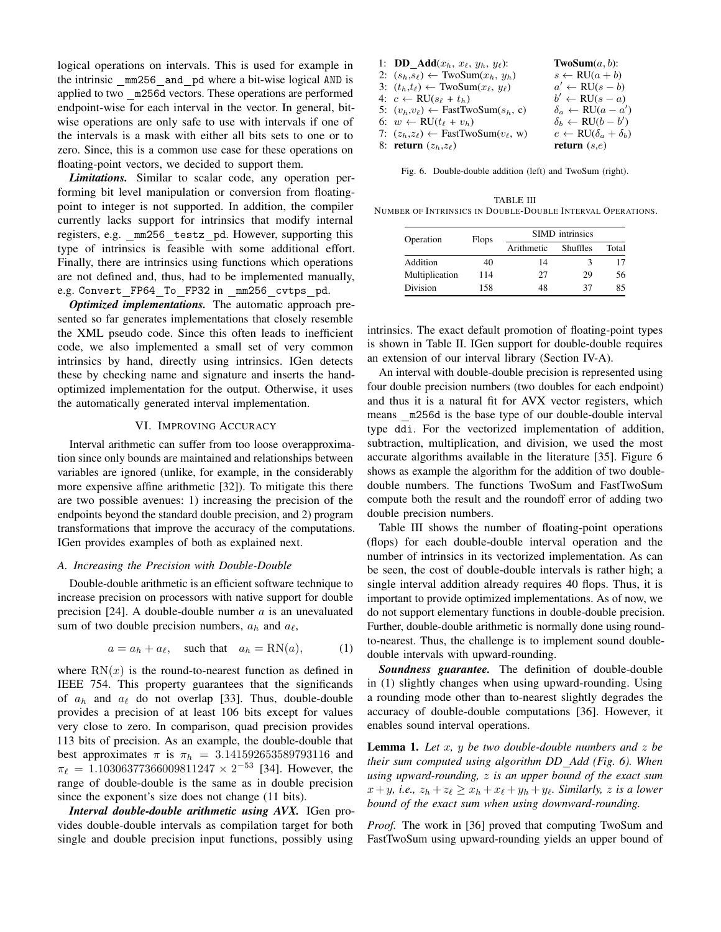logical operations on intervals. This is used for example in the intrinsic mm256 and pd where a bit-wise logical AND is applied to two m256d vectors. These operations are performed endpoint-wise for each interval in the vector. In general, bitwise operations are only safe to use with intervals if one of the intervals is a mask with either all bits sets to one or to zero. Since, this is a common use case for these operations on floating-point vectors, we decided to support them.

*Limitations.* Similar to scalar code, any operation performing bit level manipulation or conversion from floatingpoint to integer is not supported. In addition, the compiler currently lacks support for intrinsics that modify internal registers, e.g. \_mm256\_testz\_pd. However, supporting this type of intrinsics is feasible with some additional effort. Finally, there are intrinsics using functions which operations are not defined and, thus, had to be implemented manually, e.g. Convert\_FP64\_To\_FP32 in \_mm256\_cvtps\_pd.

*Optimized implementations.* The automatic approach presented so far generates implementations that closely resemble the XML pseudo code. Since this often leads to inefficient code, we also implemented a small set of very common intrinsics by hand, directly using intrinsics. IGen detects these by checking name and signature and inserts the handoptimized implementation for the output. Otherwise, it uses the automatically generated interval implementation.

## VI. IMPROVING ACCURACY

<span id="page-5-0"></span>Interval arithmetic can suffer from too loose overapproximation since only bounds are maintained and relationships between variables are ignored (unlike, for example, in the considerably more expensive affine arithmetic [\[32\]](#page-12-16)). To mitigate this there are two possible avenues: 1) increasing the precision of the endpoints beyond the standard double precision, and 2) program transformations that improve the accuracy of the computations. IGen provides examples of both as explained next.

## *A. Increasing the Precision with Double-Double*

Double-double arithmetic is an efficient software technique to increase precision on processors with native support for double precision [\[24\]](#page-12-8). A double-double number  $a$  is an unevaluated sum of two double precision numbers,  $a_h$  and  $a_\ell$ ,

$$
a = a_h + a_\ell, \quad \text{such that} \quad a_h = \text{RN}(a), \tag{1}
$$

where  $RN(x)$  is the round-to-nearest function as defined in IEEE 754. This property guarantees that the significands of  $a_h$  and  $a_\ell$  do not overlap [\[33\]](#page-12-17). Thus, double-double provides a precision of at least 106 bits except for values very close to zero. In comparison, quad precision provides 113 bits of precision. As an example, the double-double that best approximates  $\pi$  is  $\pi_h$  = 3.141592653589793116 and  $\pi_{\ell} = 1.10306377366009811247 \times 2^{-53}$  [\[34\]](#page-12-18). However, the range of double-double is the same as in double precision since the exponent's size does not change (11 bits).

*Interval double-double arithmetic using AVX.* IGen provides double-double intervals as compilation target for both single and double precision input functions, possibly using

| 1: <b>DD</b> $\text{Add}(x_h, x_\ell, y_h, y_\ell)$ :      | <b>TwoSum</b> $(a, b)$ :                      |
|------------------------------------------------------------|-----------------------------------------------|
| 2: $(s_h, s_\ell) \leftarrow \text{TwoSum}(x_h, y_h)$      | $s \leftarrow \text{RU}(a+b)$                 |
| 3: $(t_h,t_\ell) \leftarrow \text{TwoSum}(x_\ell, y_\ell)$ | $a' \leftarrow \text{RU}(s - b)$              |
| 4: $c \leftarrow \text{RU}(s_\ell + t_h)$                  | $b' \leftarrow \text{RU}(s - a)$              |
| 5: $(v_h, v_\ell) \leftarrow$ FastTwoSum $(s_h, c)$        | $\delta_a \leftarrow \text{RU}(a - a')$       |
| 6: $w \leftarrow \text{RU}(t_{\ell} + v_h)$                | $\delta_b \leftarrow \text{RU}(b - b')$       |
| 7: $(z_h, z_\ell) \leftarrow$ FastTwoSum $(v_\ell, w)$     | $e \leftarrow \text{RU}(\delta_a + \delta_b)$ |
| 8: return $(z_h, z_\ell)$                                  | return $(s,e)$                                |

<span id="page-5-1"></span>Fig. 6. Double-double addition (left) and TwoSum (right).

<span id="page-5-2"></span>TABLE III NUMBER OF INTRINSICS IN DOUBLE-DOUBLE INTERVAL OPERATIONS.

| Operation      | <b>Flops</b> | <b>SIMD</b> intrinsics |                 |       |  |  |
|----------------|--------------|------------------------|-----------------|-------|--|--|
|                |              | Arithmetic             | <b>Shuffles</b> | Total |  |  |
| Addition       | 40           | 14                     |                 |       |  |  |
| Multiplication | 114          | 27                     | 29              | 56    |  |  |
| Division       | 158          | 48                     | 37              | 85    |  |  |

intrinsics. The exact default promotion of floating-point types is shown in Table [II.](#page-3-1) IGen support for double-double requires an extension of our interval library (Section [IV-A\)](#page-1-3).

An interval with double-double precision is represented using four double precision numbers (two doubles for each endpoint) and thus it is a natural fit for AVX vector registers, which means m256d is the base type of our double-double interval type ddi. For the vectorized implementation of addition, subtraction, multiplication, and division, we used the most accurate algorithms available in the literature [\[35\]](#page-12-19). Figure [6](#page-5-1) shows as example the algorithm for the addition of two doubledouble numbers. The functions TwoSum and FastTwoSum compute both the result and the roundoff error of adding two double precision numbers.

Table [III](#page-5-2) shows the number of floating-point operations (flops) for each double-double interval operation and the number of intrinsics in its vectorized implementation. As can be seen, the cost of double-double intervals is rather high; a single interval addition already requires 40 flops. Thus, it is important to provide optimized implementations. As of now, we do not support elementary functions in double-double precision. Further, double-double arithmetic is normally done using roundto-nearest. Thus, the challenge is to implement sound doubledouble intervals with upward-rounding.

<span id="page-5-3"></span>*Soundness guarantee.* The definition of double-double in [\(1\)](#page-5-3) slightly changes when using upward-rounding. Using a rounding mode other than to-nearest slightly degrades the accuracy of double-double computations [\[36\]](#page-12-20). However, it enables sound interval operations.

Lemma 1. *Let* x*,* y *be two double-double numbers and* z *be their sum computed using algorithm DD Add (Fig. [6\)](#page-5-1). When using upward-rounding,* z *is an upper bound of the exact sum*  $x+y$ *, i.e.,*  $z_h + z_\ell \geq x_h + x_\ell + y_h + y_\ell$ *. Similarly, z is a lower bound of the exact sum when using downward-rounding.*

*Proof.* The work in [\[36\]](#page-12-20) proved that computing TwoSum and FastTwoSum using upward-rounding yields an upper bound of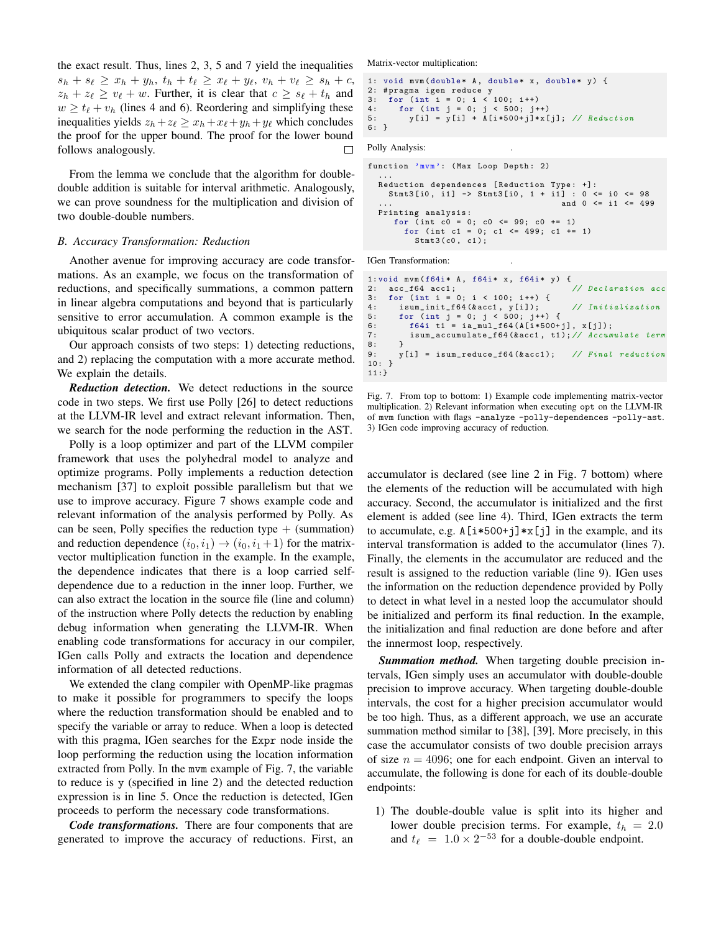the exact result. Thus, lines 2, 3, 5 and 7 yield the inequalities  $s_h + s_{\ell} \ge x_h + y_h, t_h + t_{\ell} \ge x_{\ell} + y_{\ell}, v_h + v_{\ell} \ge s_h + c,$  $z_h + z_\ell \ge v_\ell + w$ . Further, it is clear that  $c \ge s_\ell + t_h$  and  $w \ge t_{\ell} + v_h$  (lines 4 and 6). Reordering and simplifying these inequalities yields  $z_h+z_{\ell} \ge x_h+x_{\ell}+y_h+y_{\ell}$  which concludes the proof for the upper bound. The proof for the lower bound follows analogously.  $\Box$ 

From the lemma we conclude that the algorithm for doubledouble addition is suitable for interval arithmetic. Analogously, we can prove soundness for the multiplication and division of two double-double numbers.

#### *B. Accuracy Transformation: Reduction*

Another avenue for improving accuracy are code transformations. As an example, we focus on the transformation of reductions, and specifically summations, a common pattern in linear algebra computations and beyond that is particularly sensitive to error accumulation. A common example is the ubiquitous scalar product of two vectors.

Our approach consists of two steps: 1) detecting reductions, and 2) replacing the computation with a more accurate method. We explain the details.

*Reduction detection.* We detect reductions in the source code in two steps. We first use Polly [\[26\]](#page-12-10) to detect reductions at the LLVM-IR level and extract relevant information. Then, we search for the node performing the reduction in the AST.

Polly is a loop optimizer and part of the LLVM compiler framework that uses the polyhedral model to analyze and optimize programs. Polly implements a reduction detection mechanism [\[37\]](#page-12-21) to exploit possible parallelism but that we use to improve accuracy. Figure [7](#page-6-0) shows example code and relevant information of the analysis performed by Polly. As can be seen, Polly specifies the reduction type  $+$  (summation) and reduction dependence  $(i_0, i_1) \rightarrow (i_0, i_1 + 1)$  for the matrixvector multiplication function in the example. In the example, the dependence indicates that there is a loop carried selfdependence due to a reduction in the inner loop. Further, we can also extract the location in the source file (line and column) of the instruction where Polly detects the reduction by enabling debug information when generating the LLVM-IR. When enabling code transformations for accuracy in our compiler, IGen calls Polly and extracts the location and dependence information of all detected reductions.

We extended the clang compiler with OpenMP-like pragmas to make it possible for programmers to specify the loops where the reduction transformation should be enabled and to specify the variable or array to reduce. When a loop is detected with this pragma, IGen searches for the Expr node inside the loop performing the reduction using the location information extracted from Polly. In the mvm example of Fig. [7,](#page-6-0) the variable to reduce is y (specified in line 2) and the detected reduction expression is in line 5. Once the reduction is detected, IGen proceeds to perform the necessary code transformations.

*Code transformations.* There are four components that are generated to improve the accuracy of reductions. First, an Matrix-vector multiplication:

```
1: void mvm (double* A, double* x, double* y) {
2: # pragma igen reduce y<br>3: for (int i = 0: i <
3: for (int i = 0; i < 100; i++)<br>4: for (int i = 0: i < 500: i+)for (int j = 0; j < 500; j^{++})
5: y[i] = y[i] + A[i*500+j]*x[j]; // Reduction
6: }
```
Polly Analysis:

```
function 'mvm': (Max Loop Depth: 2)
  ...
Reduction dependences [ Reduction Type : +]:
    Stmt3 [i0, i1] -> Stmt3 [i0, 1 + i1] : 0 <= i0 <= 98
                                             and 0 \le i1 \le 499Printing analysis :
      for ( int c0 = 0; c0 <= 99; c0 += 1)
for ( int c1 = 0; c1 <= 499; c1 += 1)
          Stmt3 (c0, c1);
```
IGen Transformation: .

```
1: void mvm (f64i * A, f64i * x, f64i * y) {<br>2: acc_f64 acc1; // Declaration acc
2: acc_f64 acc1;<br>3: for (int i =
3: for (int i = 0; i < 100; i++) {<br>4: isum_init_f64(&acc1, y[i]);
4: isum_init_f64 (\&acc1, y[i]); // Initialization<br>5: for (int j = 0; j < 500; j++) {
5: for ( int j = 0; j < 500; j ++) {
6: f64i t1 = ia_mul_f64 (A [i *500+ j], x[ j ]);
7: isum_accumulate_f64 (kacc1, t1); // Accumulate term<br>8: }
rac{8}{9}:
         y[i] = isum_reduce_f64 (kacc1); // Final reduction
10: }
11:}
```
<span id="page-6-0"></span>. Fig. 7. From top to bottom: 1) Example code implementing matrix-vector multiplication. 2) Relevant information when executing opt on the LLVM-IR of mvm function with flags -analyze -polly-dependences -polly-ast. 3) IGen code improving accuracy of reduction.

accumulator is declared (see line 2 in Fig. [7](#page-6-0) bottom) where the elements of the reduction will be accumulated with high accuracy. Second, the accumulator is initialized and the first element is added (see line 4). Third, IGen extracts the term to accumulate, e.g. A[i\*500+j]\*x[j] in the example, and its interval transformation is added to the accumulator (lines 7). Finally, the elements in the accumulator are reduced and the result is assigned to the reduction variable (line 9). IGen uses the information on the reduction dependence provided by Polly to detect in what level in a nested loop the accumulator should be initialized and perform its final reduction. In the example, the initialization and final reduction are done before and after the innermost loop, respectively.

*Summation method.* When targeting double precision intervals, IGen simply uses an accumulator with double-double precision to improve accuracy. When targeting double-double intervals, the cost for a higher precision accumulator would be too high. Thus, as a different approach, we use an accurate summation method similar to [\[38\]](#page-12-22), [\[39\]](#page-12-23). More precisely, in this case the accumulator consists of two double precision arrays of size  $n = 4096$ ; one for each endpoint. Given an interval to accumulate, the following is done for each of its double-double endpoints:

1) The double-double value is split into its higher and lower double precision terms. For example,  $t_h = 2.0$ and  $t_{\ell} = 1.0 \times 2^{-53}$  for a double-double endpoint.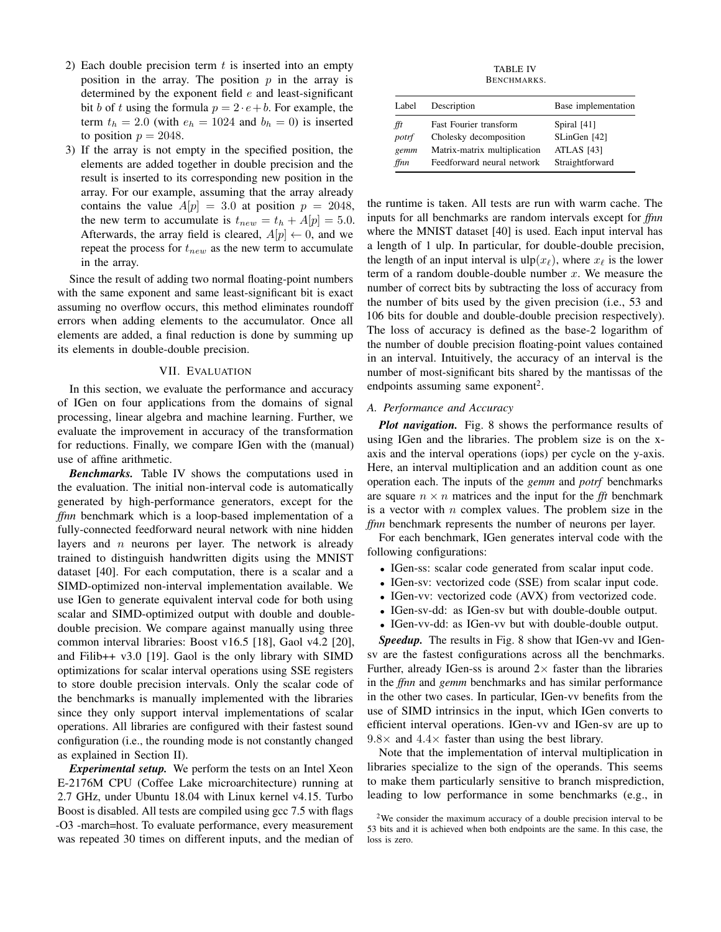- 2) Each double precision term  $t$  is inserted into an empty position in the array. The position  $p$  in the array is determined by the exponent field  $e$  and least-significant bit b of t using the formula  $p = 2 \cdot e + b$ . For example, the term  $t_h = 2.0$  (with  $e_h = 1024$  and  $b_h = 0$ ) is inserted to position  $p = 2048$ .
- 3) If the array is not empty in the specified position, the elements are added together in double precision and the result is inserted to its corresponding new position in the array. For our example, assuming that the array already contains the value  $A[p] = 3.0$  at position  $p = 2048$ , the new term to accumulate is  $t_{new} = t_h + A[p] = 5.0$ . Afterwards, the array field is cleared,  $A[p] \leftarrow 0$ , and we repeat the process for  $t_{new}$  as the new term to accumulate in the array.

Since the result of adding two normal floating-point numbers with the same exponent and same least-significant bit is exact assuming no overflow occurs, this method eliminates roundoff errors when adding elements to the accumulator. Once all elements are added, a final reduction is done by summing up its elements in double-double precision.

# VII. EVALUATION

In this section, we evaluate the performance and accuracy of IGen on four applications from the domains of signal processing, linear algebra and machine learning. Further, we evaluate the improvement in accuracy of the transformation for reductions. Finally, we compare IGen with the (manual) use of affine arithmetic.

*Benchmarks.* Table [IV](#page-7-0) shows the computations used in the evaluation. The initial non-interval code is automatically generated by high-performance generators, except for the *ffnn* benchmark which is a loop-based implementation of a fully-connected feedforward neural network with nine hidden layers and  $n$  neurons per layer. The network is already trained to distinguish handwritten digits using the MNIST dataset [\[40\]](#page-12-24). For each computation, there is a scalar and a SIMD-optimized non-interval implementation available. We use IGen to generate equivalent interval code for both using scalar and SIMD-optimized output with double and doubledouble precision. We compare against manually using three common interval libraries: Boost v16.5 [\[18\]](#page-12-4), Gaol v4.2 [\[20\]](#page-12-25), and Filib++ v3.0 [\[19\]](#page-12-26). Gaol is the only library with SIMD optimizations for scalar interval operations using SSE registers to store double precision intervals. Only the scalar code of the benchmarks is manually implemented with the libraries since they only support interval implementations of scalar operations. All libraries are configured with their fastest sound configuration (i.e., the rounding mode is not constantly changed as explained in Section [II\)](#page-1-2).

*Experimental setup.* We perform the tests on an Intel Xeon E-2176M CPU (Coffee Lake microarchitecture) running at 2.7 GHz, under Ubuntu 18.04 with Linux kernel v4.15. Turbo Boost is disabled. All tests are compiled using gcc 7.5 with flags -O3 -march=host. To evaluate performance, every measurement was repeated 30 times on different inputs, and the median of

TABLE IV BENCHMARKS.

<span id="page-7-0"></span>

| Label | Description                  | Base implementation |
|-------|------------------------------|---------------------|
| fft   | Fast Fourier transform       | Spiral [41]         |
| potrf | Cholesky decomposition       | SLinGen [42]        |
| gemm  | Matrix-matrix multiplication | ATLAS [43]          |
| ffnn  | Feedforward neural network   | Straightforward     |

the runtime is taken. All tests are run with warm cache. The inputs for all benchmarks are random intervals except for *ffnn* where the MNIST dataset [\[40\]](#page-12-24) is used. Each input interval has a length of 1 ulp. In particular, for double-double precision, the length of an input interval is  $\text{ulp}(x_\ell)$ , where  $x_\ell$  is the lower term of a random double-double number  $x$ . We measure the number of correct bits by subtracting the loss of accuracy from the number of bits used by the given precision (i.e., 53 and 106 bits for double and double-double precision respectively). The loss of accuracy is defined as the base-2 logarithm of the number of double precision floating-point values contained in an interval. Intuitively, the accuracy of an interval is the number of most-significant bits shared by the mantissas of the endpoints assuming same exponent<sup>[2](#page-7-1)</sup>.

# *A. Performance and Accuracy*

*Plot navigation.* Fig. [8](#page-8-0) shows the performance results of using IGen and the libraries. The problem size is on the xaxis and the interval operations (iops) per cycle on the y-axis. Here, an interval multiplication and an addition count as one operation each. The inputs of the *gemm* and *potrf* benchmarks are square  $n \times n$  matrices and the input for the *fft* benchmark is a vector with  $n$  complex values. The problem size in the *ffnn* benchmark represents the number of neurons per layer.

For each benchmark, IGen generates interval code with the following configurations:

- IGen-ss: scalar code generated from scalar input code.
- IGen-sv: vectorized code (SSE) from scalar input code.
- IGen-vv: vectorized code (AVX) from vectorized code.
- IGen-sv-dd: as IGen-sv but with double-double output.
- IGen-vv-dd: as IGen-vv but with double-double output.

*Speedup.* The results in Fig. [8](#page-8-0) show that IGen-vv and IGensv are the fastest configurations across all the benchmarks. Further, already IGen-ss is around  $2\times$  faster than the libraries in the *ffnn* and *gemm* benchmarks and has similar performance in the other two cases. In particular, IGen-vv benefits from the use of SIMD intrinsics in the input, which IGen converts to efficient interval operations. IGen-vv and IGen-sv are up to  $9.8\times$  and  $4.4\times$  faster than using the best library.

Note that the implementation of interval multiplication in libraries specialize to the sign of the operands. This seems to make them particularly sensitive to branch misprediction, leading to low performance in some benchmarks (e.g., in

<span id="page-7-1"></span><sup>2</sup>We consider the maximum accuracy of a double precision interval to be 53 bits and it is achieved when both endpoints are the same. In this case, the loss is zero.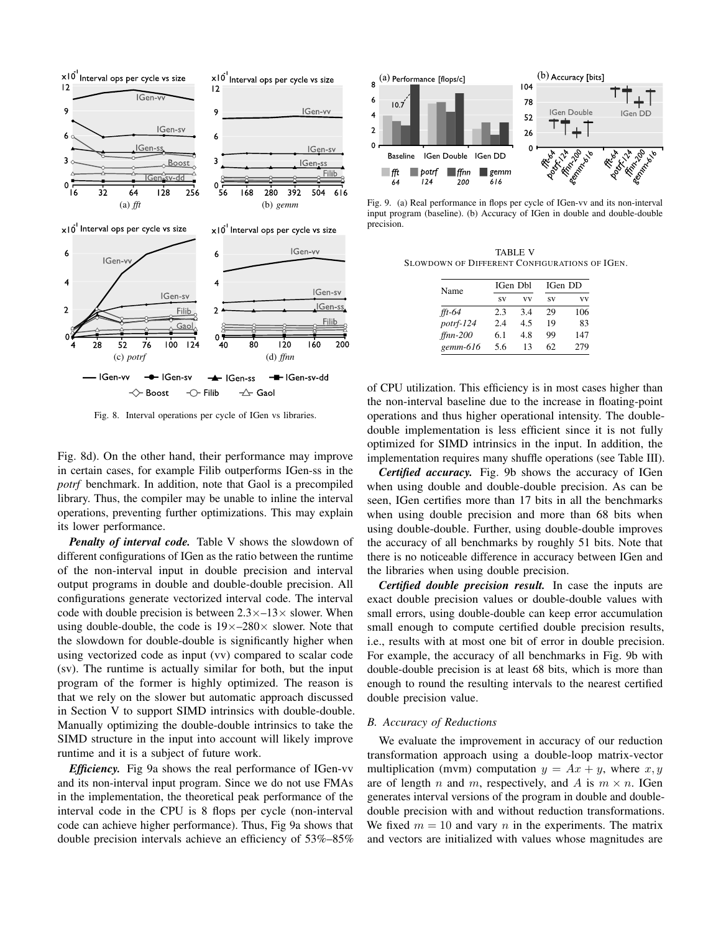

<span id="page-8-1"></span><span id="page-8-0"></span>Fig. 8. Interval operations per cycle of IGen vs libraries.

Fig. [8d\)](#page-8-1). On the other hand, their performance may improve in certain cases, for example Filib outperforms IGen-ss in the *potrf* benchmark. In addition, note that Gaol is a precompiled library. Thus, the compiler may be unable to inline the interval operations, preventing further optimizations. This may explain its lower performance.

*Penalty of interval code.* Table [V](#page-8-2) shows the slowdown of different configurations of IGen as the ratio between the runtime of the non-interval input in double precision and interval output programs in double and double-double precision. All configurations generate vectorized interval code. The interval code with double precision is between  $2.3 \times -13 \times$  slower. When using double-double, the code is  $19\times-280\times$  slower. Note that the slowdown for double-double is significantly higher when using vectorized code as input (vv) compared to scalar code (sv). The runtime is actually similar for both, but the input program of the former is highly optimized. The reason is that we rely on the slower but automatic approach discussed in Section [V](#page-3-0) to support SIMD intrinsics with double-double. Manually optimizing the double-double intrinsics to take the SIMD structure in the input into account will likely improve runtime and it is a subject of future work.

*Efficiency.* Fig [9a](#page-8-3) shows the real performance of IGen-vv and its non-interval input program. Since we do not use FMAs in the implementation, the theoretical peak performance of the interval code in the CPU is 8 flops per cycle (non-interval code can achieve higher performance). Thus, Fig [9a](#page-8-3) shows that double precision intervals achieve an efficiency of 53%–85%

<span id="page-8-3"></span>

Fig. 9. (a) Real performance in flops per cycle of IGen-vv and its non-interval input program (baseline). (b) Accuracy of IGen in double and double-double precision.

<span id="page-8-2"></span>TABLE V SLOWDOWN OF DIFFERENT CONFIGURATIONS OF IGEN.

<span id="page-8-4"></span>

| Name       |           | IGen Dbl | IGen DD |     |  |
|------------|-----------|----------|---------|-----|--|
|            | <b>SV</b> | vv       | SV      | vv  |  |
| $ft-64$    | 2.3       | 34       | 29      | 106 |  |
| potrf-124  | 2.4       | 4.5      | 19      | 83  |  |
| $ffnn-200$ | 6.1       | 48       | 99      | 147 |  |
| $gemm-616$ | 5.6       | 13       | 62      | 279 |  |

of CPU utilization. This efficiency is in most cases higher than the non-interval baseline due to the increase in floating-point operations and thus higher operational intensity. The doubledouble implementation is less efficient since it is not fully optimized for SIMD intrinsics in the input. In addition, the implementation requires many shuffle operations (see Table [III\)](#page-5-2).

*Certified accuracy.* Fig. [9b](#page-8-4) shows the accuracy of IGen when using double and double-double precision. As can be seen, IGen certifies more than 17 bits in all the benchmarks when using double precision and more than 68 bits when using double-double. Further, using double-double improves the accuracy of all benchmarks by roughly 51 bits. Note that there is no noticeable difference in accuracy between IGen and the libraries when using double precision.

*Certified double precision result.* In case the inputs are exact double precision values or double-double values with small errors, using double-double can keep error accumulation small enough to compute certified double precision results, i.e., results with at most one bit of error in double precision. For example, the accuracy of all benchmarks in Fig. [9b](#page-8-4) with double-double precision is at least 68 bits, which is more than enough to round the resulting intervals to the nearest certified double precision value.

## *B. Accuracy of Reductions*

We evaluate the improvement in accuracy of our reduction transformation approach using a double-loop matrix-vector multiplication (mvm) computation  $y = Ax + y$ , where  $x, y$ are of length n and m, respectively, and A is  $m \times n$ . IGen generates interval versions of the program in double and doubledouble precision with and without reduction transformations. We fixed  $m = 10$  and vary n in the experiments. The matrix and vectors are initialized with values whose magnitudes are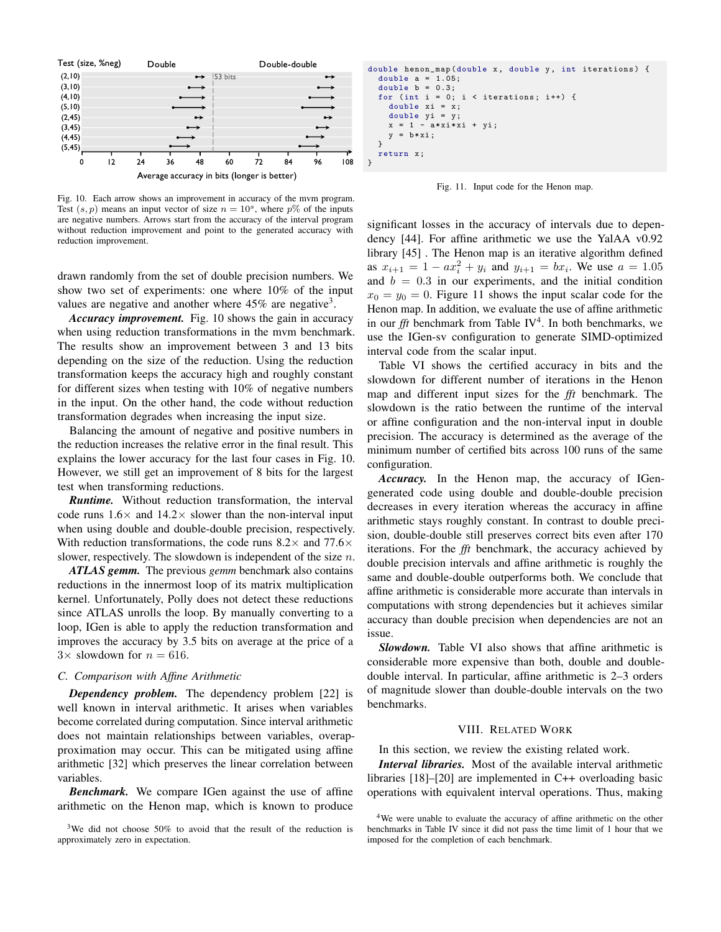

<span id="page-9-1"></span>Fig. 10. Each arrow shows an improvement in accuracy of the mvm program. Test  $(s, p)$  means an input vector of size  $n = 10<sup>s</sup>$ , where  $p\%$  of the inputs are negative numbers. Arrows start from the accuracy of the interval program without reduction improvement and point to the generated accuracy with reduction improvement.

drawn randomly from the set of double precision numbers. We show two set of experiments: one where 10% of the input values are negative and another where  $45\%$  are negative<sup>[3](#page-9-0)</sup>.

*Accuracy improvement.* Fig. [10](#page-9-1) shows the gain in accuracy when using reduction transformations in the mvm benchmark. The results show an improvement between 3 and 13 bits depending on the size of the reduction. Using the reduction transformation keeps the accuracy high and roughly constant for different sizes when testing with 10% of negative numbers in the input. On the other hand, the code without reduction transformation degrades when increasing the input size.

Balancing the amount of negative and positive numbers in the reduction increases the relative error in the final result. This explains the lower accuracy for the last four cases in Fig. [10.](#page-9-1) However, we still get an improvement of 8 bits for the largest test when transforming reductions.

*Runtime.* Without reduction transformation, the interval code runs  $1.6\times$  and  $14.2\times$  slower than the non-interval input when using double and double-double precision, respectively. With reduction transformations, the code runs  $8.2 \times$  and  $77.6 \times$ slower, respectively. The slowdown is independent of the size  $n$ .

*ATLAS gemm.* The previous *gemm* benchmark also contains reductions in the innermost loop of its matrix multiplication kernel. Unfortunately, Polly does not detect these reductions since ATLAS unrolls the loop. By manually converting to a loop, IGen is able to apply the reduction transformation and improves the accuracy by 3.5 bits on average at the price of a  $3\times$  slowdown for  $n = 616$ .

#### *C. Comparison with Affine Arithmetic*

*Dependency problem.* The dependency problem [\[22\]](#page-12-6) is well known in interval arithmetic. It arises when variables become correlated during computation. Since interval arithmetic does not maintain relationships between variables, overapproximation may occur. This can be mitigated using affine arithmetic [\[32\]](#page-12-16) which preserves the linear correlation between variables.

*Benchmark.* We compare IGen against the use of affine arithmetic on the Henon map, which is known to produce

```
double henon_map (double x, double y, int iterations) {
  double a = 1.05:
  double b = 0.3;
  for (int i = 0; i < iterations; i++) {
     double xi = x;
double yi = y;
    x = 1 - a*xi*xi + yi;y = b * x i;}
  return x;
}
```
<span id="page-9-2"></span>

significant losses in the accuracy of intervals due to dependency [\[44\]](#page-12-30). For affine arithmetic we use the YalAA v0.92 library [\[45\]](#page-12-31) . The Henon map is an iterative algorithm defined as  $x_{i+1} = 1 - ax_i^2 + y_i$  and  $y_{i+1} = bx_i$ . We use  $a = 1.05$ and  $b = 0.3$  in our experiments, and the initial condition  $x_0 = y_0 = 0$ . Figure [11](#page-9-2) shows the input scalar code for the Henon map. In addition, we evaluate the use of affine arithmetic in our  $f\ddot{f}$  benchmark from Table [IV](#page-7-0)<sup>[4](#page-9-3)</sup>. In both benchmarks, we use the IGen-sv configuration to generate SIMD-optimized interval code from the scalar input.

Table [VI](#page-10-0) shows the certified accuracy in bits and the slowdown for different number of iterations in the Henon map and different input sizes for the *fft* benchmark. The slowdown is the ratio between the runtime of the interval or affine configuration and the non-interval input in double precision. The accuracy is determined as the average of the minimum number of certified bits across 100 runs of the same configuration.

*Accuracy.* In the Henon map, the accuracy of IGengenerated code using double and double-double precision decreases in every iteration whereas the accuracy in affine arithmetic stays roughly constant. In contrast to double precision, double-double still preserves correct bits even after 170 iterations. For the *fft* benchmark, the accuracy achieved by double precision intervals and affine arithmetic is roughly the same and double-double outperforms both. We conclude that affine arithmetic is considerable more accurate than intervals in computations with strong dependencies but it achieves similar accuracy than double precision when dependencies are not an issue.

*Slowdown.* Table [VI](#page-10-0) also shows that affine arithmetic is considerable more expensive than both, double and doubledouble interval. In particular, affine arithmetic is 2–3 orders of magnitude slower than double-double intervals on the two benchmarks.

#### VIII. RELATED WORK

In this section, we review the existing related work.

*Interval libraries.* Most of the available interval arithmetic libraries [\[18\]](#page-12-4)–[\[20\]](#page-12-25) are implemented in C++ overloading basic operations with equivalent interval operations. Thus, making

<span id="page-9-0"></span> $3$ We did not choose 50% to avoid that the result of the reduction is approximately zero in expectation.

<span id="page-9-3"></span><sup>&</sup>lt;sup>4</sup>We were unable to evaluate the accuracy of affine arithmetic on the other benchmarks in Table [IV](#page-7-0) since it did not pass the time limit of 1 hour that we imposed for the completion of each benchmark.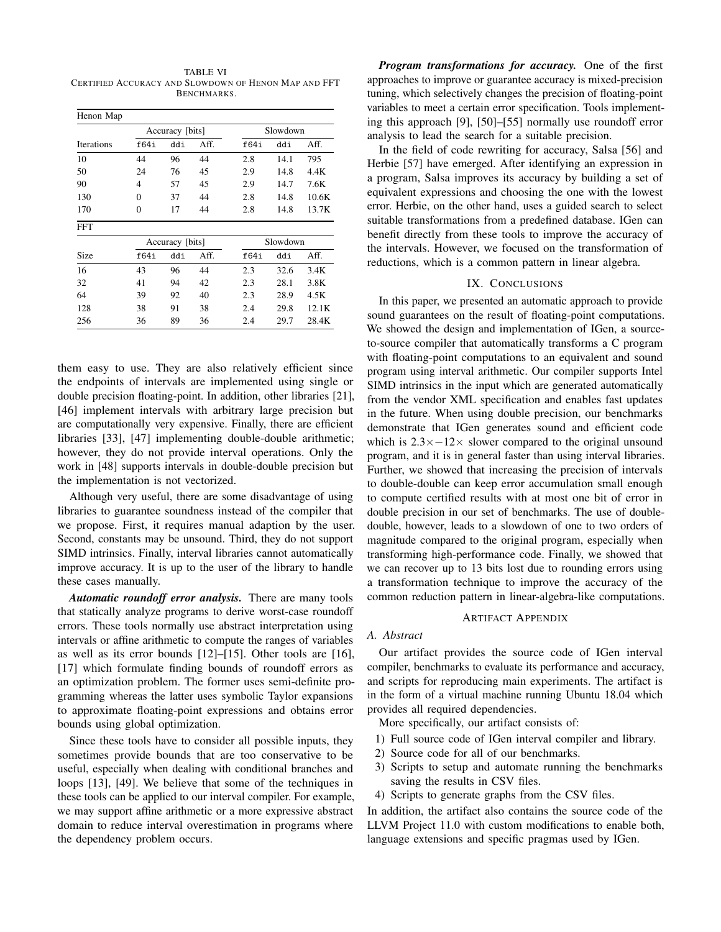TABLE VI CERTIFIED ACCURACY AND SLOWDOWN OF HENON MAP AND FFT BENCHMARKS.

<span id="page-10-0"></span>

| Henon Map  |                 |                 |      |          |          |       |  |
|------------|-----------------|-----------------|------|----------|----------|-------|--|
|            | Accuracy [bits] |                 |      | Slowdown |          |       |  |
| Iterations | f64i            | ddi             | Aff. | f64i     | ddi      | Aff.  |  |
| 10         | 44              | 96              | 44   | 2.8      | 14.1     | 795   |  |
| 50         | 24              | 76              | 45   | 2.9      | 14.8     | 4.4K  |  |
| 90         | 4               | 57              | 45   | 2.9      | 14.7     | 7.6K  |  |
| 130        | $\mathbf{0}$    | 37              | 44   | 2.8      | 14.8     | 10.6K |  |
| 170        | $\theta$        | 17              | 44   | 2.8      | 14.8     | 13.7K |  |
| <b>FFT</b> |                 |                 |      |          |          |       |  |
|            |                 | Accuracy [bits] |      |          | Slowdown |       |  |
| Size       | f64i            | ddi             | Aff. | f64i     | ddi      | Aff.  |  |
| 16         | 43              | 96              | 44   | 2.3      | 32.6     | 3.4K  |  |
| 32         | 41              | 94              | 42   | 2.3      | 28.1     | 3.8K  |  |
| 64         | 39              | 92              | 40   | 2.3      | 28.9     | 4.5K  |  |
| 128        | 38              | 91              | 38   | 2.4      | 29.8     | 12.1K |  |
| 256        | 36              | 89              | 36   | 2.4      | 29.7     | 28.4K |  |

them easy to use. They are also relatively efficient since the endpoints of intervals are implemented using single or double precision floating-point. In addition, other libraries [\[21\]](#page-12-5), [\[46\]](#page-12-32) implement intervals with arbitrary large precision but are computationally very expensive. Finally, there are efficient libraries [\[33\]](#page-12-17), [\[47\]](#page-12-33) implementing double-double arithmetic; however, they do not provide interval operations. Only the work in [\[48\]](#page-12-34) supports intervals in double-double precision but the implementation is not vectorized.

Although very useful, there are some disadvantage of using libraries to guarantee soundness instead of the compiler that we propose. First, it requires manual adaption by the user. Second, constants may be unsound. Third, they do not support SIMD intrinsics. Finally, interval libraries cannot automatically improve accuracy. It is up to the user of the library to handle these cases manually.

*Automatic roundoff error analysis.* There are many tools that statically analyze programs to derive worst-case roundoff errors. These tools normally use abstract interpretation using intervals or affine arithmetic to compute the ranges of variables as well as its error bounds [\[12\]](#page-12-2)–[\[15\]](#page-12-35). Other tools are [\[16\]](#page-12-36), [\[17\]](#page-12-3) which formulate finding bounds of roundoff errors as an optimization problem. The former uses semi-definite programming whereas the latter uses symbolic Taylor expansions to approximate floating-point expressions and obtains error bounds using global optimization.

Since these tools have to consider all possible inputs, they sometimes provide bounds that are too conservative to be useful, especially when dealing with conditional branches and loops [\[13\]](#page-12-37), [\[49\]](#page-12-38). We believe that some of the techniques in these tools can be applied to our interval compiler. For example, we may support affine arithmetic or a more expressive abstract domain to reduce interval overestimation in programs where the dependency problem occurs.

*Program transformations for accuracy.* One of the first approaches to improve or guarantee accuracy is mixed-precision tuning, which selectively changes the precision of floating-point variables to meet a certain error specification. Tools implementing this approach [\[9\]](#page-11-8), [\[50\]](#page-12-39)–[\[55\]](#page-12-40) normally use roundoff error analysis to lead the search for a suitable precision.

In the field of code rewriting for accuracy, Salsa [\[56\]](#page-12-41) and Herbie [\[57\]](#page-12-42) have emerged. After identifying an expression in a program, Salsa improves its accuracy by building a set of equivalent expressions and choosing the one with the lowest error. Herbie, on the other hand, uses a guided search to select suitable transformations from a predefined database. IGen can benefit directly from these tools to improve the accuracy of the intervals. However, we focused on the transformation of reductions, which is a common pattern in linear algebra.

# IX. CONCLUSIONS

In this paper, we presented an automatic approach to provide sound guarantees on the result of floating-point computations. We showed the design and implementation of IGen, a sourceto-source compiler that automatically transforms a C program with floating-point computations to an equivalent and sound program using interval arithmetic. Our compiler supports Intel SIMD intrinsics in the input which are generated automatically from the vendor XML specification and enables fast updates in the future. When using double precision, our benchmarks demonstrate that IGen generates sound and efficient code which is  $2.3 \times -12 \times$  slower compared to the original unsound program, and it is in general faster than using interval libraries. Further, we showed that increasing the precision of intervals to double-double can keep error accumulation small enough to compute certified results with at most one bit of error in double precision in our set of benchmarks. The use of doubledouble, however, leads to a slowdown of one to two orders of magnitude compared to the original program, especially when transforming high-performance code. Finally, we showed that we can recover up to 13 bits lost due to rounding errors using a transformation technique to improve the accuracy of the common reduction pattern in linear-algebra-like computations.

#### ARTIFACT APPENDIX

# *A. Abstract*

Our artifact provides the source code of IGen interval compiler, benchmarks to evaluate its performance and accuracy, and scripts for reproducing main experiments. The artifact is in the form of a virtual machine running Ubuntu 18.04 which provides all required dependencies.

More specifically, our artifact consists of:

- 1) Full source code of IGen interval compiler and library.
- 2) Source code for all of our benchmarks.
- 3) Scripts to setup and automate running the benchmarks saving the results in CSV files.
- 4) Scripts to generate graphs from the CSV files.

In addition, the artifact also contains the source code of the LLVM Project 11.0 with custom modifications to enable both, language extensions and specific pragmas used by IGen.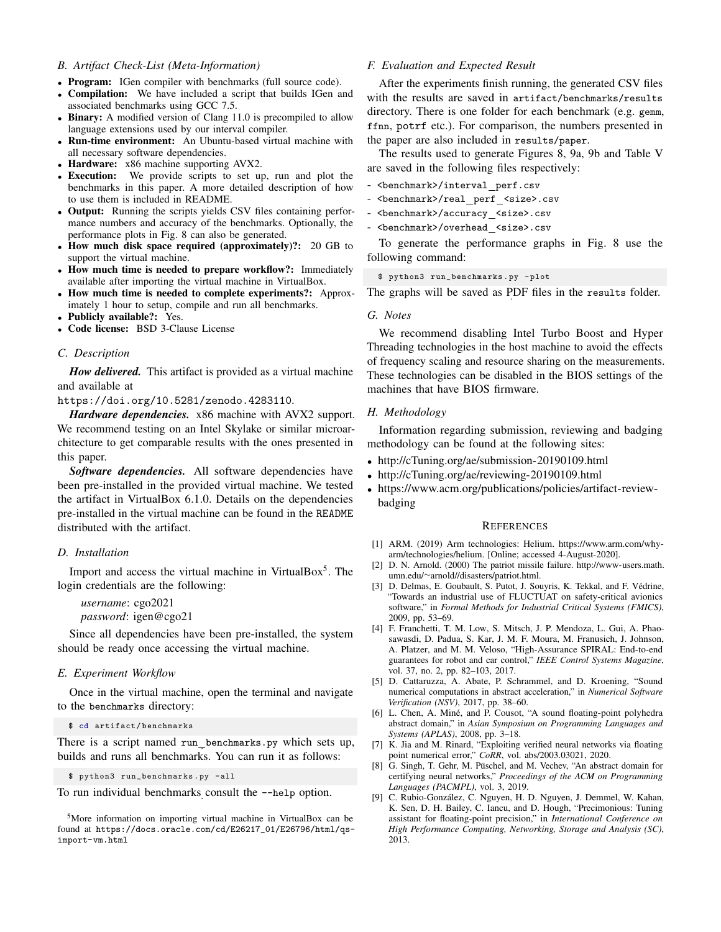# *B. Artifact Check-List (Meta-Information)*

- Program: IGen compiler with benchmarks (full source code).
- Compilation: We have included a script that builds IGen and associated benchmarks using GCC 7.5.
- Binary: A modified version of Clang 11.0 is precompiled to allow language extensions used by our interval compiler.
- Run-time environment: An Ubuntu-based virtual machine with all necessary software dependencies.
- Hardware: x86 machine supporting AVX2.
- **Execution:** We provide scripts to set up, run and plot the benchmarks in this paper. A more detailed description of how to use them is included in README.
- Output: Running the scripts yields CSV files containing performance numbers and accuracy of the benchmarks. Optionally, the performance plots in Fig. [8](#page-8-0) can also be generated.
- How much disk space required (approximately)?: 20 GB to support the virtual machine.
- How much time is needed to prepare workflow?: Immediately available after importing the virtual machine in VirtualBox.
- How much time is needed to complete experiments?: Approximately 1 hour to setup, compile and run all benchmarks.
- Publicly available?: Yes.
- Code license: BSD 3-Clause License

#### *C. Description*

*How delivered.* This artifact is provided as a virtual machine and available at

<https://doi.org/10.5281/zenodo.4283110>.

*Hardware dependencies.* x86 machine with AVX2 support. We recommend testing on an Intel Skylake or similar microarchitecture to get comparable results with the ones presented in this paper.

Software dependencies. All software dependencies have been pre-installed in the provided virtual machine. We tested the artifact in VirtualBox 6.1.0. Details on the dependencies pre-installed in the virtual machine can be found in the README distributed with the artifact.

#### *D. Installation*

Import and access the virtual machine in VirtualBox<sup>[5](#page-11-9)</sup>. The login credentials are the following:

*username*: cgo2021 *password*: igen@cgo21

Since all dependencies have been pre-installed, the system should be ready once accessing the virtual machine.

#### *E. Experiment Workflow*

Once in the virtual machine, open the terminal and navigate to the benchmarks directory:

\$ cd artifact / benchmarks

There is a script named run\_benchmarks.py which sets up, builds and runs all benchmarks. You can run it as follows:

\$ python3 run\_benchmarks . py - all

To run individual benchmarks consult the --help option.

# *F. Evaluation and Expected Result*

After the experiments finish running, the generated CSV files with the results are saved in artifact/benchmarks/results directory. There is one folder for each benchmark (e.g. gemm, ffnn, potrf etc.). For comparison, the numbers presented in the paper are also included in results/paper.

The results used to generate Figures [8,](#page-8-0) [9a,](#page-8-3) [9b](#page-8-4) and Table [V](#page-8-2) are saved in the following files respectively:

- <br />benchmark>/interval\_perf.csv

- <benchmark>/real perf <size>.csv
- <br />benchmark>/accuracy <size>.csv
- <br />benchmark>/overhead <size>.csv

To generate the performance graphs in Fig. [8](#page-8-0) use the following command:

\$ python3 run\_benchmarks . py - plot

The graphs will be saved as PDF files in the results folder.

#### *G. Notes*

We recommend disabling Intel Turbo Boost and Hyper Threading technologies in the host machine to avoid the effects of frequency scaling and resource sharing on the measurements. These technologies can be disabled in the BIOS settings of the machines that have BIOS firmware.

#### *H. Methodology*

Information regarding submission, reviewing and badging methodology can be found at the following sites:

- <http://cTuning.org/ae/submission-20190109.html>
- <http://cTuning.org/ae/reviewing-20190109.html>
- [https://www.acm.org/publications/policies/artifact-review](https://www.acm.org/publications/policies/artifact-review-badging)[badging](https://www.acm.org/publications/policies/artifact-review-badging)

#### **REFERENCES**

- <span id="page-11-0"></span>[1] ARM. (2019) Arm technologies: Helium. [https://www.arm.com/why](https://www.arm.com/why-arm/technologies/helium)[arm/technologies/helium.](https://www.arm.com/why-arm/technologies/helium) [Online; accessed 4-August-2020].
- <span id="page-11-1"></span>[2] D. N. Arnold. (2000) The patriot missile failure. [http://www-users.math.](http://www-users.math.umn.edu/~arnold//disasters/patriot.html) umn.edu/∼[arnold//disasters/patriot.html.](http://www-users.math.umn.edu/~arnold//disasters/patriot.html)
- <span id="page-11-2"></span>[3] D. Delmas, E. Goubault, S. Putot, J. Souyris, K. Tekkal, and F. Védrine, "Towards an industrial use of FLUCTUAT on safety-critical avionics software," in *Formal Methods for Industrial Critical Systems (FMICS)*, 2009, pp. 53–69.
- <span id="page-11-3"></span>[4] F. Franchetti, T. M. Low, S. Mitsch, J. P. Mendoza, L. Gui, A. Phaosawasdi, D. Padua, S. Kar, J. M. F. Moura, M. Franusich, J. Johnson, A. Platzer, and M. M. Veloso, "High-Assurance SPIRAL: End-to-end guarantees for robot and car control," *IEEE Control Systems Magazine*, vol. 37, no. 2, pp. 82–103, 2017.
- <span id="page-11-4"></span>[5] D. Cattaruzza, A. Abate, P. Schrammel, and D. Kroening, "Sound numerical computations in abstract acceleration," in *Numerical Software Verification (NSV)*, 2017, pp. 38–60.
- <span id="page-11-5"></span>[6] L. Chen, A. Miné, and P. Cousot, "A sound floating-point polyhedra abstract domain," in *Asian Symposium on Programming Languages and Systems (APLAS)*, 2008, pp. 3–18.
- <span id="page-11-6"></span>[7] K. Jia and M. Rinard, "Exploiting verified neural networks via floating point numerical error," *CoRR*, vol. abs/2003.03021, 2020.
- <span id="page-11-7"></span>[8] G. Singh, T. Gehr, M. Püschel, and M. Vechev, "An abstract domain for certifying neural networks," *Proceedings of the ACM on Programming Languages (PACMPL)*, vol. 3, 2019.
- <span id="page-11-8"></span>[9] C. Rubio-González, C. Nguyen, H. D. Nguyen, J. Demmel, W. Kahan, K. Sen, D. H. Bailey, C. Iancu, and D. Hough, "Precimonious: Tuning assistant for floating-point precision," in *International Conference on High Performance Computing, Networking, Storage and Analysis (SC)*, 2013.

<span id="page-11-9"></span><sup>5</sup>More information on importing virtual machine in VirtualBox can be found at [https://docs.oracle.com/cd/E26217\\_01/E26796/html/qs](https://docs.oracle.com/cd/E26217_01/E26796/html/qs-import-vm.html)[import-vm.html](https://docs.oracle.com/cd/E26217_01/E26796/html/qs-import-vm.html)